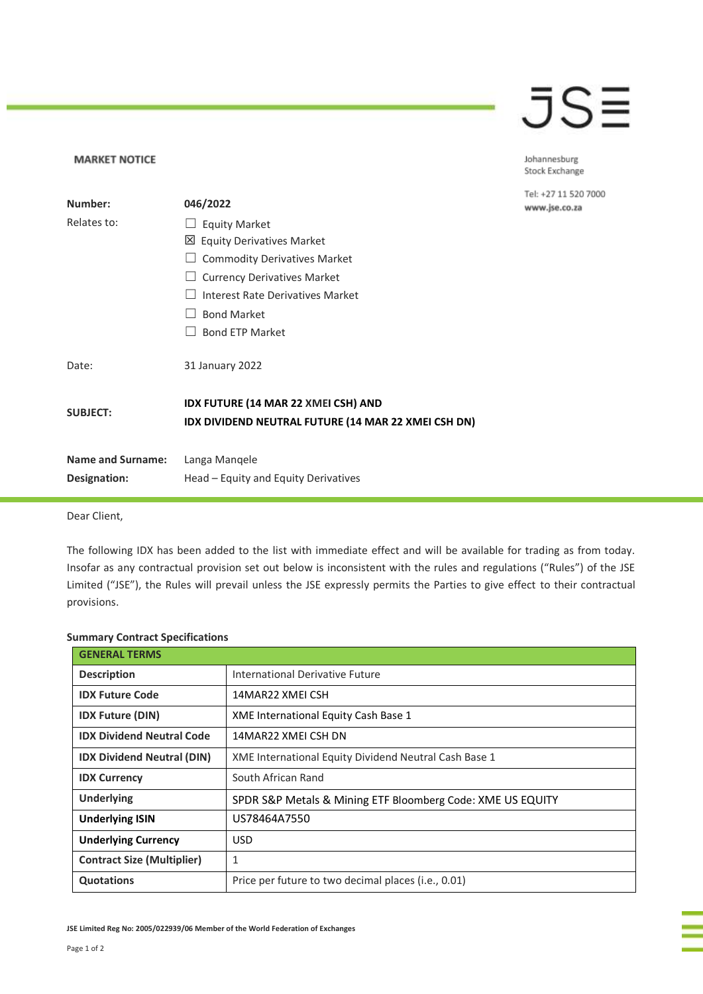## JSE

Johannesburg Stock Exchange

Tel: +27 11 520 7000 www.jse.co.za

| Number:                  | 046/2022                                                                                   |
|--------------------------|--------------------------------------------------------------------------------------------|
| Relates to:              | <b>Equity Market</b>                                                                       |
|                          | <b>Equity Derivatives Market</b><br>⊠                                                      |
|                          | <b>Commodity Derivatives Market</b>                                                        |
|                          | <b>Currency Derivatives Market</b>                                                         |
|                          | Interest Rate Derivatives Market                                                           |
|                          | <b>Bond Market</b>                                                                         |
|                          | <b>Bond ETP Market</b>                                                                     |
| Date:                    | 31 January 2022                                                                            |
| <b>SUBJECT:</b>          | IDX FUTURE (14 MAR 22 XMEI CSH) AND<br>IDX DIVIDEND NEUTRAL FUTURE (14 MAR 22 XMEI CSH DN) |
| <b>Name and Surname:</b> | Langa Mangele                                                                              |
| Designation:             | Head – Equity and Equity Derivatives                                                       |
|                          |                                                                                            |

Dear Client,

**MARKET NOTICE** 

The following IDX has been added to the list with immediate effect and will be available for trading as from today. Insofar as any contractual provision set out below is inconsistent with the rules and regulations ("Rules") of the JSE Limited ("JSE"), the Rules will prevail unless the JSE expressly permits the Parties to give effect to their contractual provisions.

## **Summary Contract Specifications**

| <b>GENERAL TERMS</b>              |                                                            |
|-----------------------------------|------------------------------------------------------------|
| <b>Description</b>                | International Derivative Future                            |
| <b>IDX Future Code</b>            | 14MAR22 XMEI CSH                                           |
| <b>IDX Future (DIN)</b>           | XME International Equity Cash Base 1                       |
| <b>IDX Dividend Neutral Code</b>  | 14MAR22 XMEI CSH DN                                        |
| <b>IDX Dividend Neutral (DIN)</b> | XME International Equity Dividend Neutral Cash Base 1      |
| <b>IDX Currency</b>               | South African Rand                                         |
| <b>Underlying</b>                 | SPDR S&P Metals & Mining ETF Bloomberg Code: XME US EQUITY |
| <b>Underlying ISIN</b>            | US78464A7550                                               |
| <b>Underlying Currency</b>        | USD.                                                       |
| <b>Contract Size (Multiplier)</b> | 1                                                          |
| <b>Quotations</b>                 | Price per future to two decimal places (i.e., 0.01)        |

**JSE Limited Reg No: 2005/022939/06 Member of the World Federation of Exchanges**